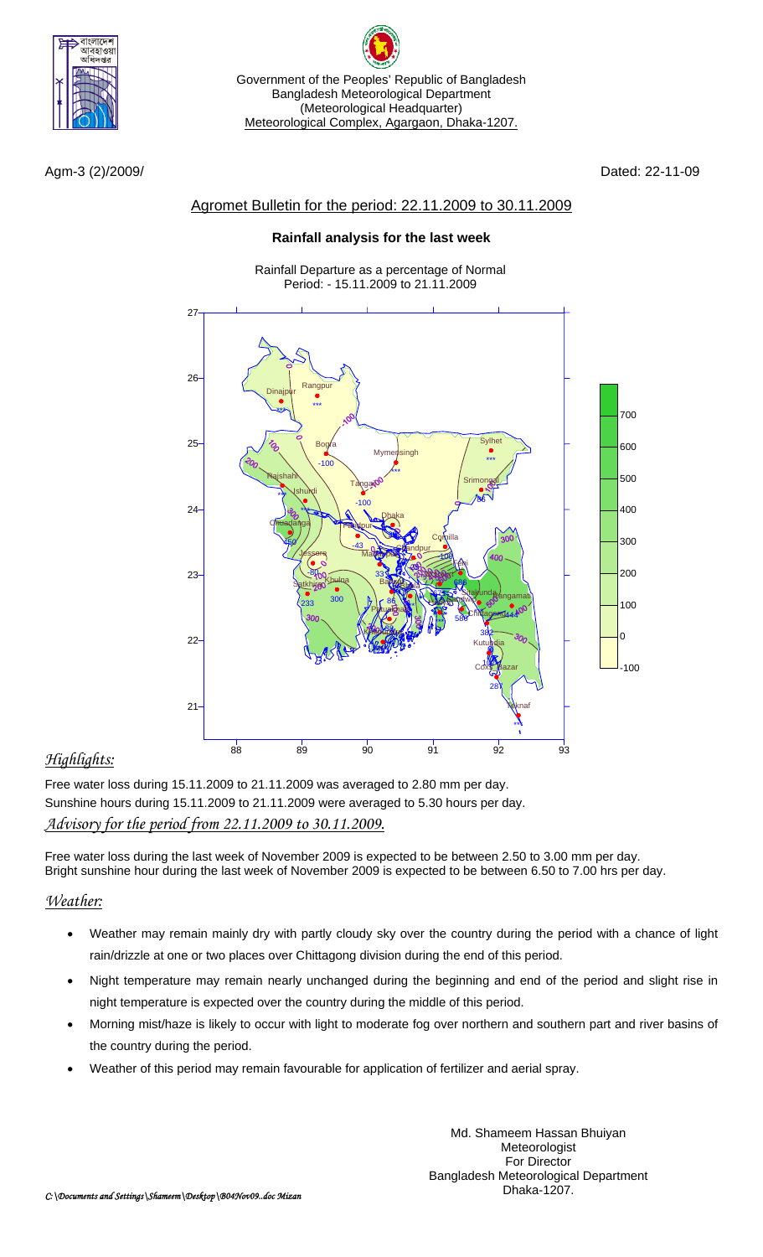

Agm-3 (2)/2009/ Dated: 22-11-09

## Agromet Bulletin for the period: 22.11.2009 to 30.11.2009

Government of the Peoples' Republic of Bangladesh Bangladesh Meteorological Department (Meteorological Headquarter) Meteorological Complex, Agargaon, Dhaka-1207.

### **Rainfall analysis for the last week**

Rainfall Departure as a percentage of Normal Period: - 15.11.2009 to 21.11.2009



# *Highlights:*

Free water loss during 15.11.2009 to 21.11.2009 was averaged to 2.80 mm per day. Sunshine hours during 15.11.2009 to 21.11.2009 were averaged to 5.30 hours per day. *Advisory for the period from 22.11.2009 to 30.11.2009.*

Free water loss during the last week of November 2009 is expected to be between 2.50 to 3.00 mm per day. Bright sunshine hour during the last week of November 2009 is expected to be between 6.50 to 7.00 hrs per day.

## *Weather:*

- Weather may remain mainly dry with partly cloudy sky over the country during the period with a chance of light rain/drizzle at one or two places over Chittagong division during the end of this period.
- Night temperature may remain nearly unchanged during the beginning and end of the period and slight rise in night temperature is expected over the country during the middle of this period.
- Morning mist/haze is likely to occur with light to moderate fog over northern and southern part and river basins of the country during the period.
- Weather of this period may remain favourable for application of fertilizer and aerial spray.

Md. Shameem Hassan Bhuiyan Meteorologist For Director Bangladesh Meteorological Department Dhaka-1207.